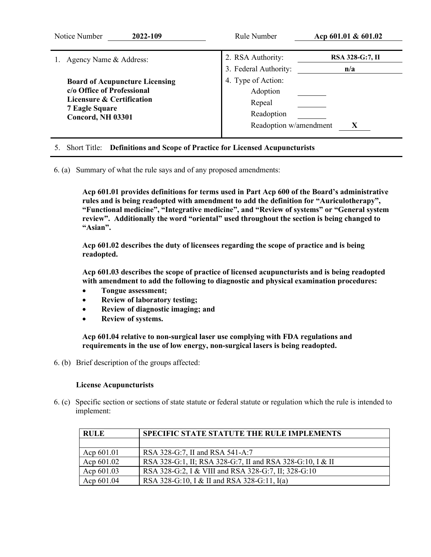| Notice Number<br>2022-109                                                                                                                      | Rule Number                                                                      | Acp $601.01 \& 601.02$        |
|------------------------------------------------------------------------------------------------------------------------------------------------|----------------------------------------------------------------------------------|-------------------------------|
| 1. Agency Name & Address:                                                                                                                      | 2. RSA Authority:<br>3. Federal Authority:                                       | <b>RSA 328-G:7, II</b><br>n/a |
| <b>Board of Acupuncture Licensing</b><br>c/o Office of Professional<br>Licensure & Certification<br><b>7 Eagle Square</b><br>Concord, NH 03301 | 4. Type of Action:<br>Adoption<br>Repeal<br>Readoption<br>Readoption w/amendment | X                             |

## 5. Short Title: **Definitions and Scope of Practice for Licensed Acupuncturists**

6. (a) Summary of what the rule says and of any proposed amendments:

**Acp 601.01 provides definitions for terms used in Part Acp 600 of the Board's administrative rules and is being readopted with amendment to add the definition for "Auriculotherapy", "Functional medicine", "Integrative medicine", and "Review of systems" or "General system review". Additionally the word "oriental" used throughout the section is being changed to "Asian".**

**Acp 601.02 describes the duty of licensees regarding the scope of practice and is being readopted.**

**Acp 601.03 describes the scope of practice of licensed acupuncturists and is being readopted with amendment to add the following to diagnostic and physical examination procedures:**

- **Tongue assessment;**
- **Review of laboratory testing;**
- **Review of diagnostic imaging; and**
- **Review of systems.**

**Acp 601.04 relative to non-surgical laser use complying with FDA regulations and requirements in the use of low energy, non-surgical lasers is being readopted.**

6. (b) Brief description of the groups affected:

## **License Acupuncturists**

6. (c) Specific section or sections of state statute or federal statute or regulation which the rule is intended to implement:

| <b>RULE</b> | SPECIFIC STATE STATUTE THE RULE IMPLEMENTS                |
|-------------|-----------------------------------------------------------|
|             |                                                           |
| Acp 601.01  | RSA 328-G:7, II and RSA 541-A:7                           |
| Acp 601.02  | RSA 328-G:1, II; RSA 328-G:7, II and RSA 328-G:10, I & II |
| Acp 601.03  | RSA 328-G:2, I & VIII and RSA 328-G:7, II; 328-G:10       |
| Acp 601.04  | RSA 328-G:10, I & II and RSA 328-G:11, I(a)               |